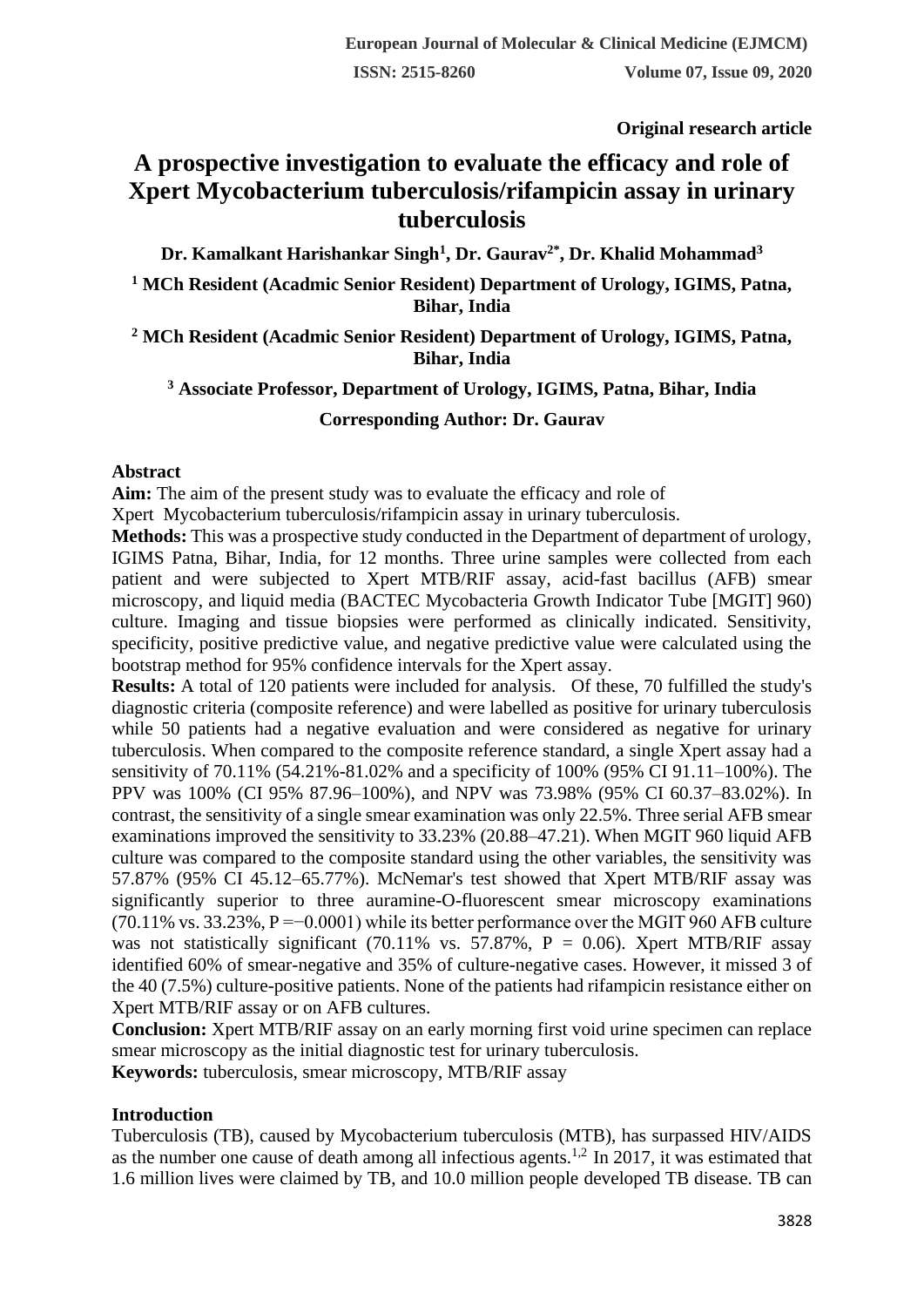**Original research article** 

# **A prospective investigation to evaluate the efficacy and role of Xpert Mycobacterium tuberculosis/rifampicin assay in urinary tuberculosis**

**Dr. Kamalkant Harishankar Singh<sup>1</sup> , Dr. Gaurav2\* , Dr. Khalid Mohammad<sup>3</sup>**

**<sup>1</sup> MCh Resident (Acadmic Senior Resident) Department of Urology, IGIMS, Patna, Bihar, India**

**<sup>2</sup> MCh Resident (Acadmic Senior Resident) Department of Urology, IGIMS, Patna, Bihar, India**

# **<sup>3</sup> Associate Professor, Department of Urology, IGIMS, Patna, Bihar, India**

# **Corresponding Author: Dr. Gaurav**

## **Abstract**

**Aim:** The aim of the present study was to evaluate the efficacy and role of

Xpert Mycobacterium tuberculosis/rifampicin assay in urinary tuberculosis.

**Methods:** This was a prospective study conducted in the Department of department of urology, IGIMS Patna, Bihar, India, for 12 months. Three urine samples were collected from each patient and were subjected to Xpert MTB/RIF assay, acid-fast bacillus (AFB) smear microscopy, and liquid media (BACTEC Mycobacteria Growth Indicator Tube [MGIT] 960) culture. Imaging and tissue biopsies were performed as clinically indicated. Sensitivity, specificity, positive predictive value, and negative predictive value were calculated using the bootstrap method for 95% confidence intervals for the Xpert assay.

**Results:** A total of 120 patients were included for analysis. Of these, 70 fulfilled the study's diagnostic criteria (composite reference) and were labelled as positive for urinary tuberculosis while 50 patients had a negative evaluation and were considered as negative for urinary tuberculosis. When compared to the composite reference standard, a single Xpert assay had a sensitivity of 70.11% (54.21%-81.02% and a specificity of 100% (95% CI 91.11–100%). The PPV was 100% (CI 95% 87.96–100%), and NPV was 73.98% (95% CI 60.37–83.02%). In contrast, the sensitivity of a single smear examination was only 22.5%. Three serial AFB smear examinations improved the sensitivity to 33.23% (20.88–47.21). When MGIT 960 liquid AFB culture was compared to the composite standard using the other variables, the sensitivity was 57.87% (95% CI 45.12–65.77%). McNemar's test showed that Xpert MTB/RIF assay was significantly superior to three auramine-O-fluorescent smear microscopy examinations  $(70.11\%$  vs. 33.23%, P =−0.0001) while its better performance over the MGIT 960 AFB culture was not statistically significant (70.11% vs. 57.87%,  $P = 0.06$ ). Xpert MTB/RIF assay identified 60% of smear-negative and 35% of culture-negative cases. However, it missed 3 of the 40 (7.5%) culture-positive patients. None of the patients had rifampicin resistance either on Xpert MTB/RIF assay or on AFB cultures.

**Conclusion:** Xpert MTB/RIF assay on an early morning first void urine specimen can replace smear microscopy as the initial diagnostic test for urinary tuberculosis.

**Keywords:** tuberculosis, smear microscopy, MTB/RIF assay

# **Introduction**

Tuberculosis (TB), caused by Mycobacterium tuberculosis (MTB), has surpassed HIV/AIDS as the number one cause of death among all infectious agents.<sup>1,2</sup> In 2017, it was estimated that 1.6 million lives were claimed by TB, and 10.0 million people developed TB disease. TB can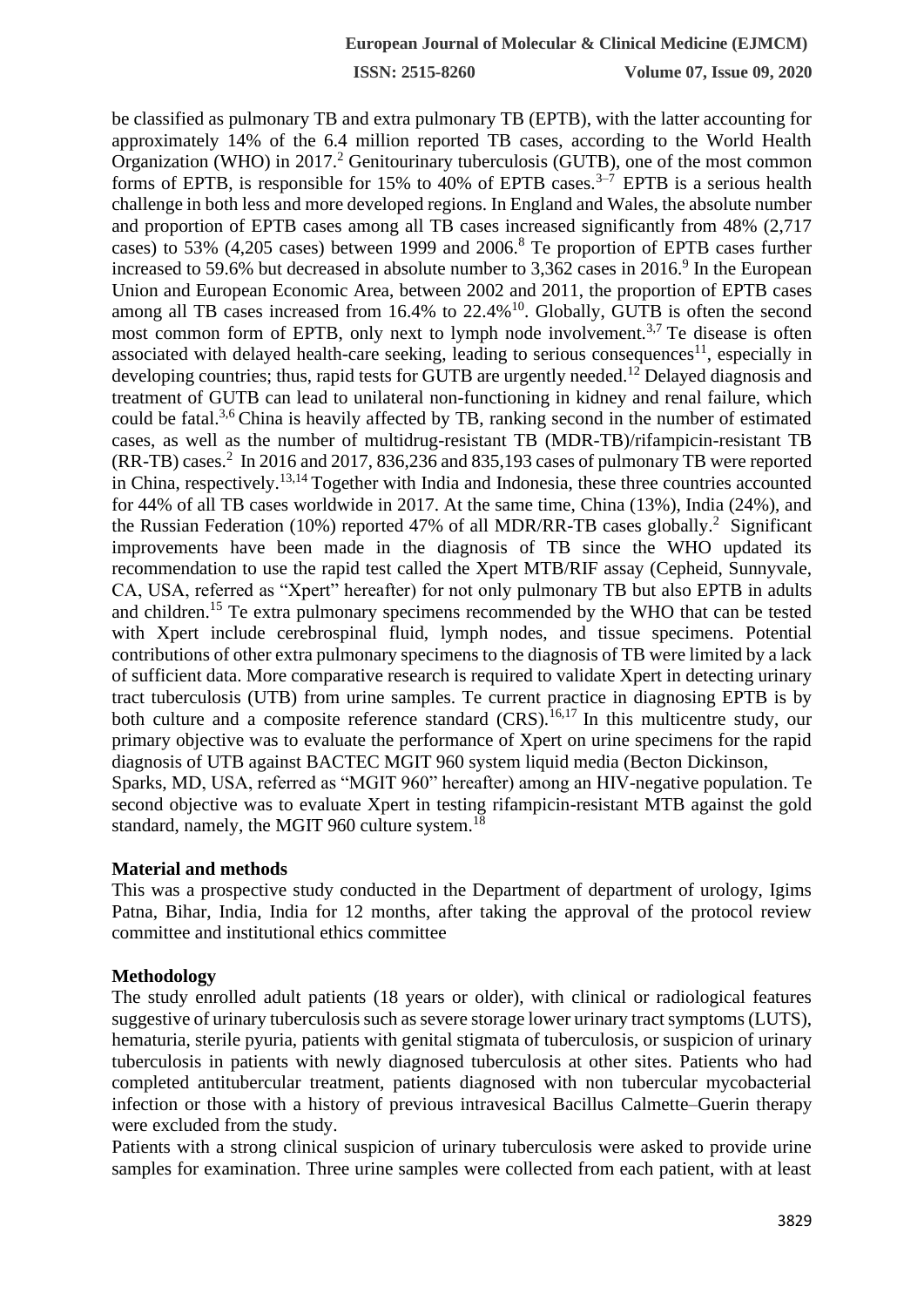**ISSN: 2515-8260 Volume 07, Issue 09, 2020**

be classified as pulmonary TB and extra pulmonary TB (EPTB), with the latter accounting for approximately 14% of the 6.4 million reported TB cases, according to the World Health Organization (WHO) in  $2017<sup>2</sup>$  Genitourinary tuberculosis (GUTB), one of the most common forms of EPTB, is responsible for 15% to 40% of EPTB cases.<sup>3–7</sup> EPTB is a serious health challenge in both less and more developed regions. In England and Wales, the absolute number and proportion of EPTB cases among all TB cases increased significantly from 48% (2,717 cases) to 53% (4,205 cases) between 1999 and 2006.<sup>8</sup> Te proportion of EPTB cases further increased to 59.6% but decreased in absolute number to  $3,362$  cases in  $2016$ .<sup>9</sup> In the European Union and European Economic Area, between 2002 and 2011, the proportion of EPTB cases among all TB cases increased from  $16.4\%$  to  $22.4\%$ <sup>10</sup>. Globally, GUTB is often the second most common form of EPTB, only next to lymph node involvement.<sup>3,7</sup> Te disease is often associated with delayed health-care seeking, leading to serious consequences<sup>11</sup>, especially in developing countries; thus, rapid tests for GUTB are urgently needed.<sup>12</sup> Delayed diagnosis and treatment of GUTB can lead to unilateral non-functioning in kidney and renal failure, which could be fatal.<sup>3,6</sup> China is heavily affected by TB, ranking second in the number of estimated cases, as well as the number of multidrug-resistant TB (MDR-TB)/rifampicin-resistant TB  $(RR-TB)$  cases.<sup>2</sup> In 2016 and 2017, 836,236 and 835,193 cases of pulmonary TB were reported in China, respectively.13,14 Together with India and Indonesia, these three countries accounted for 44% of all TB cases worldwide in 2017. At the same time, China (13%), India (24%), and the Russian Federation (10%) reported 47% of all MDR/RR-TB cases globally.<sup>2</sup> Significant improvements have been made in the diagnosis of TB since the WHO updated its recommendation to use the rapid test called the Xpert MTB/RIF assay (Cepheid, Sunnyvale, CA, USA, referred as "Xpert" hereafter) for not only pulmonary TB but also EPTB in adults and children.<sup>15</sup> Te extra pulmonary specimens recommended by the WHO that can be tested with Xpert include cerebrospinal fluid, lymph nodes, and tissue specimens. Potential contributions of other extra pulmonary specimens to the diagnosis of TB were limited by a lack of sufficient data. More comparative research is required to validate Xpert in detecting urinary tract tuberculosis (UTB) from urine samples. Te current practice in diagnosing EPTB is by both culture and a composite reference standard (CRS).<sup>16,17</sup> In this multicentre study, our primary objective was to evaluate the performance of Xpert on urine specimens for the rapid diagnosis of UTB against BACTEC MGIT 960 system liquid media (Becton Dickinson, Sparks, MD, USA, referred as "MGIT 960" hereafter) among an HIV-negative population. Te second objective was to evaluate Xpert in testing rifampicin-resistant MTB against the gold standard, namely, the MGIT 960 culture system.<sup>18</sup>

#### **Material and methods**

This was a prospective study conducted in the Department of department of urology, Igims Patna, Bihar, India, India for 12 months, after taking the approval of the protocol review committee and institutional ethics committee

#### **Methodology**

The study enrolled adult patients (18 years or older), with clinical or radiological features suggestive of urinary tuberculosis such as severe storage lower urinary tract symptoms (LUTS), hematuria, sterile pyuria, patients with genital stigmata of tuberculosis, or suspicion of urinary tuberculosis in patients with newly diagnosed tuberculosis at other sites. Patients who had completed antitubercular treatment, patients diagnosed with non tubercular mycobacterial infection or those with a history of previous intravesical Bacillus Calmette–Guerin therapy were excluded from the study.

Patients with a strong clinical suspicion of urinary tuberculosis were asked to provide urine samples for examination. Three urine samples were collected from each patient, with at least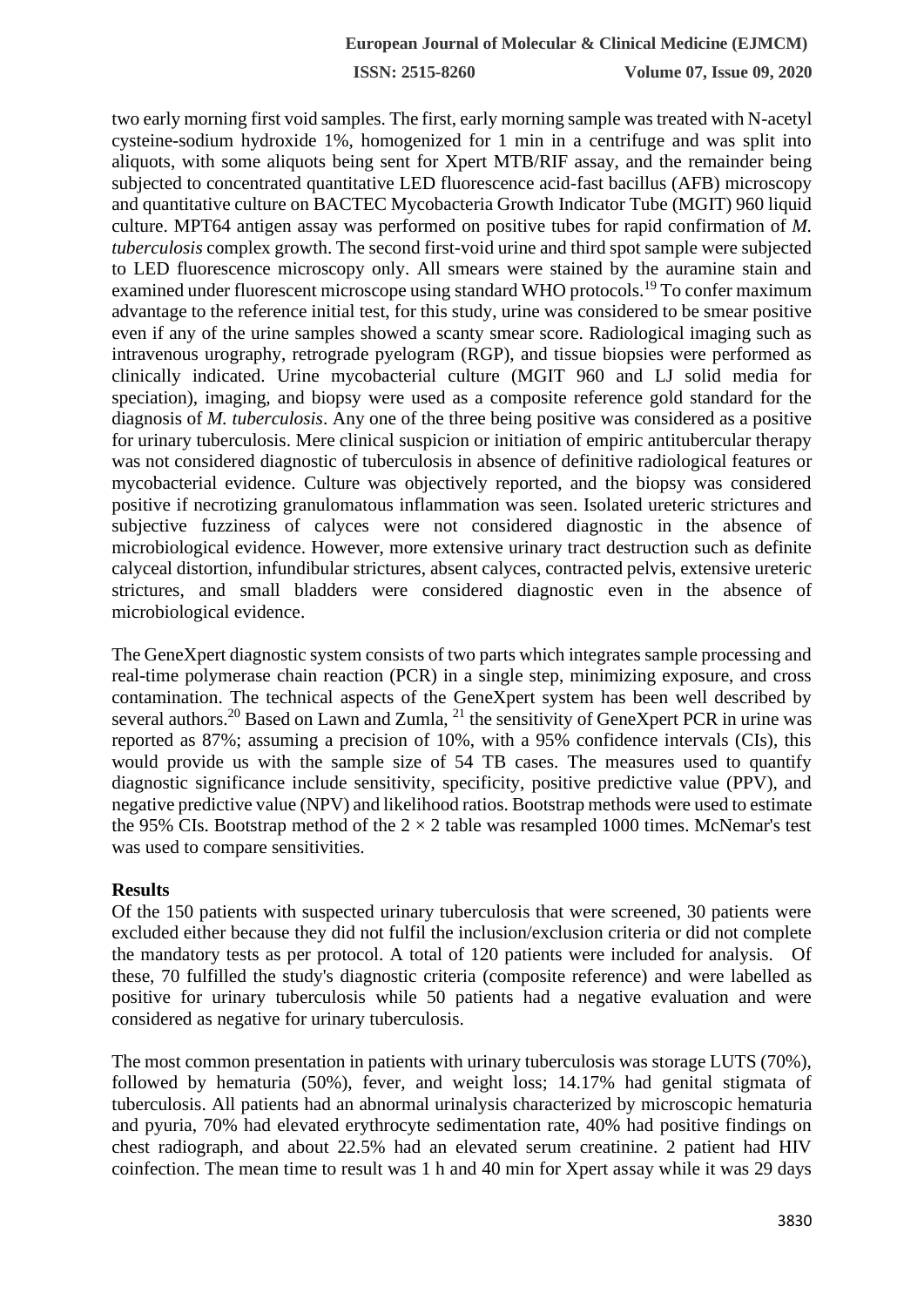**ISSN: 2515-8260 Volume 07, Issue 09, 2020**

two early morning first void samples. The first, early morning sample was treated with N-acetyl cysteine-sodium hydroxide 1%, homogenized for 1 min in a centrifuge and was split into aliquots, with some aliquots being sent for Xpert MTB/RIF assay, and the remainder being subjected to concentrated quantitative LED fluorescence acid-fast bacillus (AFB) microscopy and quantitative culture on BACTEC Mycobacteria Growth Indicator Tube (MGIT) 960 liquid culture. MPT64 antigen assay was performed on positive tubes for rapid confirmation of *M. tuberculosis* complex growth. The second first-void urine and third spot sample were subjected to LED fluorescence microscopy only. All smears were stained by the auramine stain and examined under fluorescent microscope using standard WHO protocols.<sup>19</sup> To confer maximum advantage to the reference initial test, for this study, urine was considered to be smear positive even if any of the urine samples showed a scanty smear score. Radiological imaging such as intravenous urography, retrograde pyelogram (RGP), and tissue biopsies were performed as clinically indicated. Urine mycobacterial culture (MGIT 960 and LJ solid media for speciation), imaging, and biopsy were used as a composite reference gold standard for the diagnosis of *M. tuberculosis*. Any one of the three being positive was considered as a positive for urinary tuberculosis. Mere clinical suspicion or initiation of empiric antitubercular therapy was not considered diagnostic of tuberculosis in absence of definitive radiological features or mycobacterial evidence. Culture was objectively reported, and the biopsy was considered positive if necrotizing granulomatous inflammation was seen. Isolated ureteric strictures and subjective fuzziness of calyces were not considered diagnostic in the absence of microbiological evidence. However, more extensive urinary tract destruction such as definite calyceal distortion, infundibular strictures, absent calyces, contracted pelvis, extensive ureteric strictures, and small bladders were considered diagnostic even in the absence of microbiological evidence.

The GeneXpert diagnostic system consists of two parts which integrates sample processing and real-time polymerase chain reaction (PCR) in a single step, minimizing exposure, and cross contamination. The technical aspects of the GeneXpert system has been well described by several authors.<sup>20</sup> Based on Lawn and Zumla, <sup>21</sup> the sensitivity of GeneXpert PCR in urine was reported as 87%; assuming a precision of 10%, with a 95% confidence intervals (CIs), this would provide us with the sample size of 54 TB cases. The measures used to quantify diagnostic significance include sensitivity, specificity, positive predictive value (PPV), and negative predictive value (NPV) and likelihood ratios. Bootstrap methods were used to estimate the 95% CIs. Bootstrap method of the  $2 \times 2$  table was resampled 1000 times. McNemar's test was used to compare sensitivities.

#### **Results**

Of the 150 patients with suspected urinary tuberculosis that were screened, 30 patients were excluded either because they did not fulfil the inclusion/exclusion criteria or did not complete the mandatory tests as per protocol. A total of 120 patients were included for analysis. Of these, 70 fulfilled the study's diagnostic criteria (composite reference) and were labelled as positive for urinary tuberculosis while 50 patients had a negative evaluation and were considered as negative for urinary tuberculosis.

The most common presentation in patients with urinary tuberculosis was storage LUTS (70%), followed by hematuria (50%), fever, and weight loss; 14.17% had genital stigmata of tuberculosis. All patients had an abnormal urinalysis characterized by microscopic hematuria and pyuria, 70% had elevated erythrocyte sedimentation rate, 40% had positive findings on chest radiograph, and about 22.5% had an elevated serum creatinine. 2 patient had HIV coinfection. The mean time to result was 1 h and 40 min for Xpert assay while it was 29 days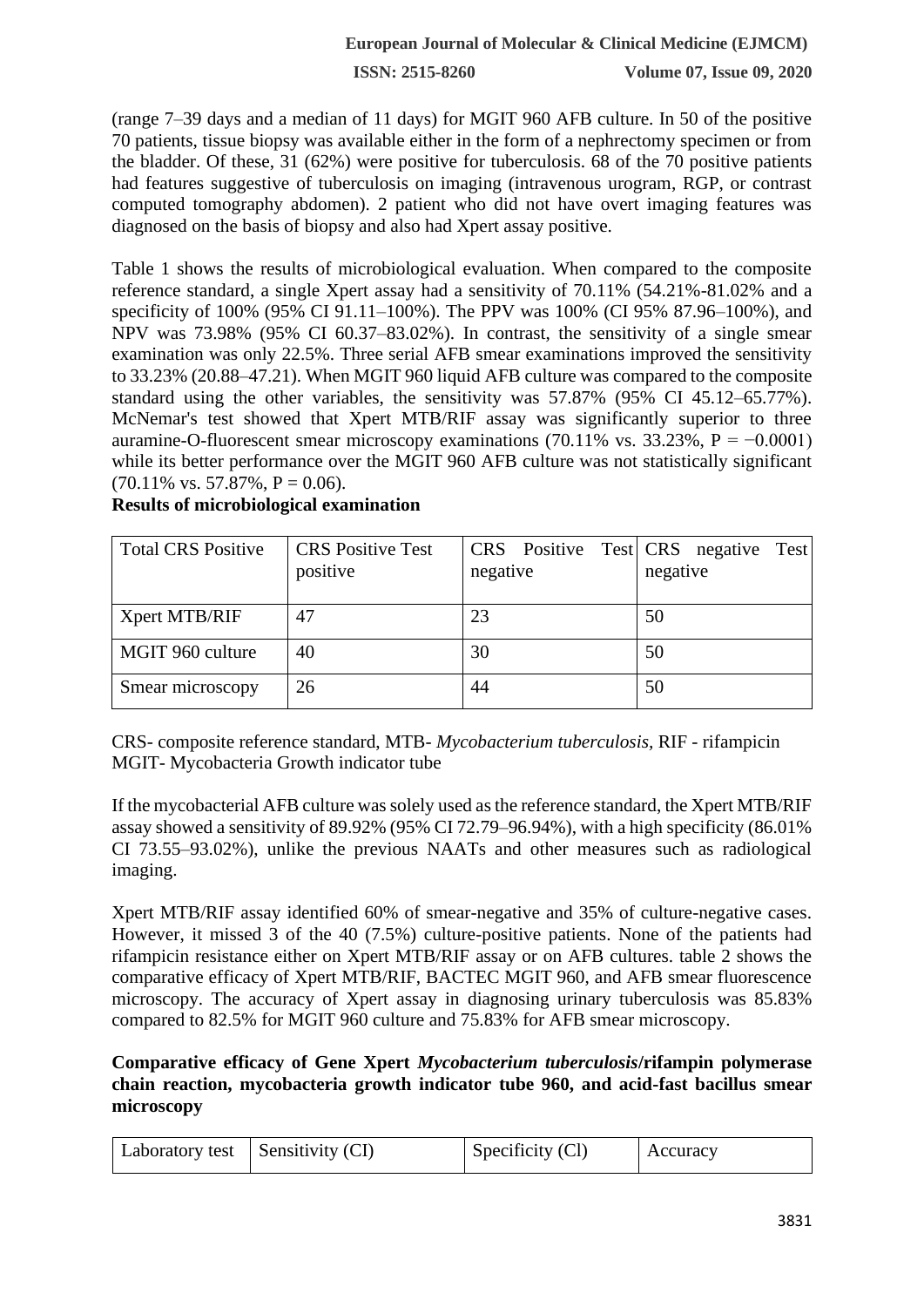**ISSN: 2515-8260 Volume 07, Issue 09, 2020**

(range 7–39 days and a median of 11 days) for MGIT 960 AFB culture. In 50 of the positive 70 patients, tissue biopsy was available either in the form of a nephrectomy specimen or from the bladder. Of these, 31 (62%) were positive for tuberculosis. 68 of the 70 positive patients had features suggestive of tuberculosis on imaging (intravenous urogram, RGP, or contrast computed tomography abdomen). 2 patient who did not have overt imaging features was diagnosed on the basis of biopsy and also had Xpert assay positive.

Table 1 shows the results of microbiological evaluation. When compared to the composite reference standard, a single Xpert assay had a sensitivity of 70.11% (54.21%-81.02% and a specificity of 100% (95% CI 91.11–100%). The PPV was 100% (CI 95% 87.96–100%), and NPV was 73.98% (95% CI 60.37–83.02%). In contrast, the sensitivity of a single smear examination was only 22.5%. Three serial AFB smear examinations improved the sensitivity to 33.23% (20.88–47.21). When MGIT 960 liquid AFB culture was compared to the composite standard using the other variables, the sensitivity was 57.87% (95% CI 45.12–65.77%). McNemar's test showed that Xpert MTB/RIF assay was significantly superior to three auramine-O-fluorescent smear microscopy examinations (70.11% vs. 33.23%, P =  $-0.0001$ ) while its better performance over the MGIT 960 AFB culture was not statistically significant  $(70.11\% \text{ vs. } 57.87\%, P = 0.06).$ 

| <b>Total CRS Positive</b> | <b>CRS</b> Positive Test |          | CRS Positive Test CRS negative Test |
|---------------------------|--------------------------|----------|-------------------------------------|
|                           | positive                 | negative | negative                            |
|                           |                          |          |                                     |
| Xpert MTB/RIF             | 47                       | 23       | 50                                  |
| MGIT 960 culture          | 40                       | 30       | 50                                  |
| Smear microscopy          | 26                       | 44       | 50                                  |

**Results of microbiological examination** 

CRS- composite reference standard, MTB- *Mycobacterium tuberculosis,* RIF - rifampicin MGIT- Mycobacteria Growth indicator tube

If the mycobacterial AFB culture was solely used as the reference standard, the Xpert MTB/RIF assay showed a sensitivity of 89.92% (95% CI 72.79–96.94%), with a high specificity (86.01% CI 73.55–93.02%), unlike the previous NAATs and other measures such as radiological imaging.

Xpert MTB/RIF assay identified 60% of smear-negative and 35% of culture-negative cases. However, it missed 3 of the 40 (7.5%) culture-positive patients. None of the patients had rifampicin resistance either on Xpert MTB/RIF assay or on AFB cultures. table 2 shows the comparative efficacy of Xpert MTB/RIF, BACTEC MGIT 960, and AFB smear fluorescence microscopy. The accuracy of Xpert assay in diagnosing urinary tuberculosis was 85.83% compared to 82.5% for MGIT 960 culture and 75.83% for AFB smear microscopy.

# **Comparative efficacy of Gene Xpert** *Mycobacterium tuberculosis***/rifampin polymerase chain reaction, mycobacteria growth indicator tube 960, and acid-fast bacillus smear microscopy**

| Laboratory test   Sensitivity $(CI)$ |  | Specificity (Cl) | Accuracy |
|--------------------------------------|--|------------------|----------|
|--------------------------------------|--|------------------|----------|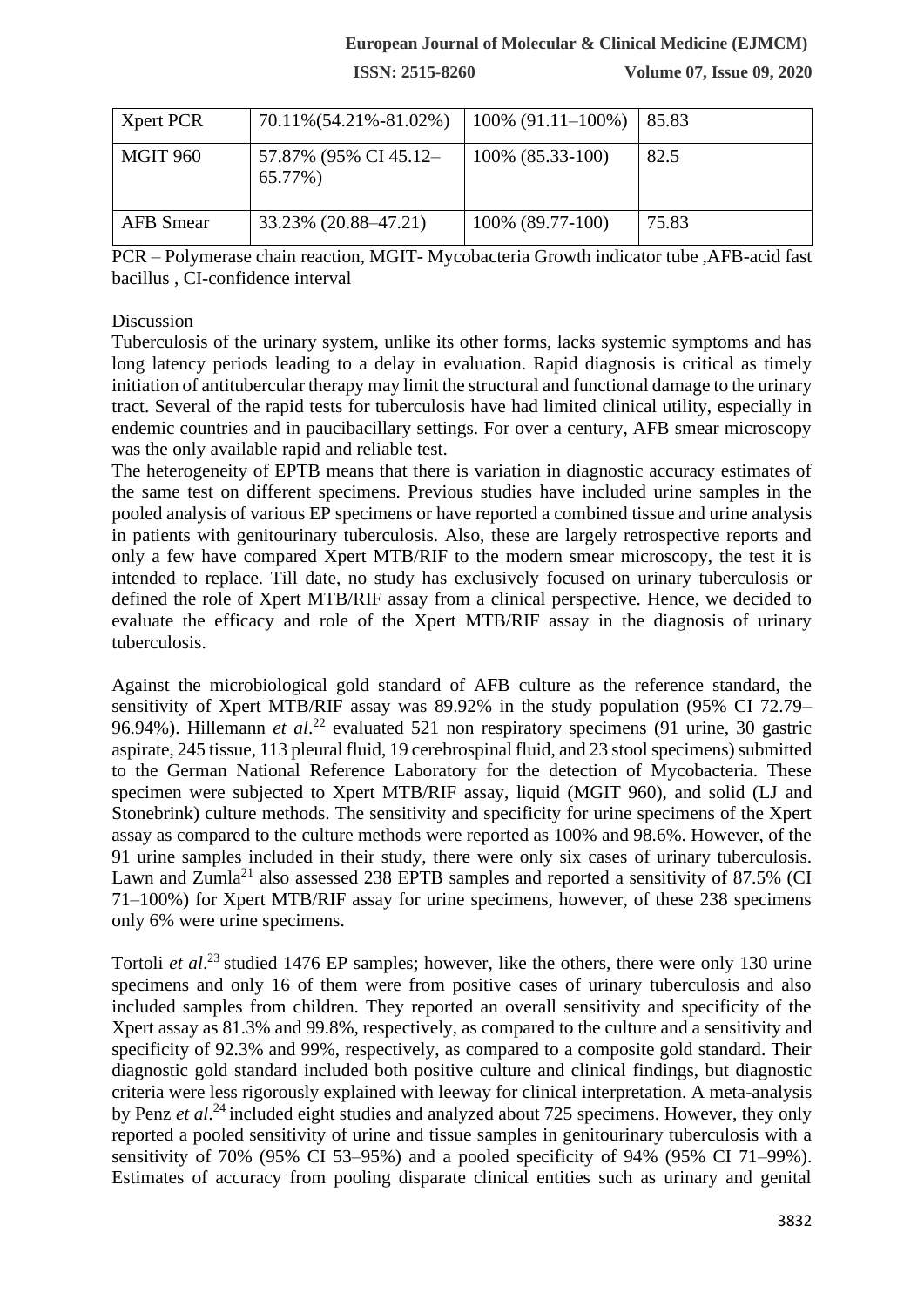## **European Journal of Molecular & Clinical Medicine (EJMCM)**

**ISSN: 2515-8260 Volume 07, Issue 09, 2020**

| Xpert PCR        | 70.11%(54.21%-81.02%)            | $100\%$ (91.11–100%) | 85.83 |
|------------------|----------------------------------|----------------------|-------|
| MGIT 960         | 57.87% (95% CI 45.12-<br>65.77%) | 100% (85.33-100)     | 82.5  |
| <b>AFB</b> Smear | 33.23% (20.88–47.21)             | 100% (89.77-100)     | 75.83 |

PCR – Polymerase chain reaction, MGIT- Mycobacteria Growth indicator tube ,AFB-acid fast bacillus , CI-confidence interval

#### Discussion

Tuberculosis of the urinary system, unlike its other forms, lacks systemic symptoms and has long latency periods leading to a delay in evaluation. Rapid diagnosis is critical as timely initiation of antitubercular therapy may limit the structural and functional damage to the urinary tract. Several of the rapid tests for tuberculosis have had limited clinical utility, especially in endemic countries and in paucibacillary settings. For over a century, AFB smear microscopy was the only available rapid and reliable test.

The heterogeneity of EPTB means that there is variation in diagnostic accuracy estimates of the same test on different specimens. Previous studies have included urine samples in the pooled analysis of various EP specimens or have reported a combined tissue and urine analysis in patients with genitourinary tuberculosis. Also, these are largely retrospective reports and only a few have compared Xpert MTB/RIF to the modern smear microscopy, the test it is intended to replace. Till date, no study has exclusively focused on urinary tuberculosis or defined the role of Xpert MTB/RIF assay from a clinical perspective. Hence, we decided to evaluate the efficacy and role of the Xpert MTB/RIF assay in the diagnosis of urinary tuberculosis.

Against the microbiological gold standard of AFB culture as the reference standard, the sensitivity of Xpert MTB/RIF assay was 89.92% in the study population (95% CI 72.79– 96.94%). Hillemann *et al.*<sup>22</sup> evaluated 521 non respiratory specimens (91 urine, 30 gastric aspirate, 245 tissue, 113 pleural fluid, 19 cerebrospinal fluid, and 23 stool specimens) submitted to the German National Reference Laboratory for the detection of Mycobacteria. These specimen were subjected to Xpert MTB/RIF assay, liquid (MGIT 960), and solid (LJ and Stonebrink) culture methods. The sensitivity and specificity for urine specimens of the Xpert assay as compared to the culture methods were reported as 100% and 98.6%. However, of the 91 urine samples included in their study, there were only six cases of urinary tuberculosis. Lawn and Zumla<sup>21</sup> also assessed 238 EPTB samples and reported a sensitivity of 87.5% (CI 71–100%) for Xpert MTB/RIF assay for urine specimens, however, of these 238 specimens only 6% were urine specimens.

Tortoli *et al.*<sup>23</sup> studied 1476 EP samples; however, like the others, there were only 130 urine specimens and only 16 of them were from positive cases of urinary tuberculosis and also included samples from children. They reported an overall sensitivity and specificity of the Xpert assay as 81.3% and 99.8%, respectively, as compared to the culture and a sensitivity and specificity of 92.3% and 99%, respectively, as compared to a composite gold standard. Their diagnostic gold standard included both positive culture and clinical findings, but diagnostic criteria were less rigorously explained with leeway for clinical interpretation. A meta-analysis by Penz *et al.*<sup>24</sup> included eight studies and analyzed about 725 specimens. However, they only reported a pooled sensitivity of urine and tissue samples in genitourinary tuberculosis with a sensitivity of 70% (95% CI 53–95%) and a pooled specificity of 94% (95% CI 71–99%). Estimates of accuracy from pooling disparate clinical entities such as urinary and genital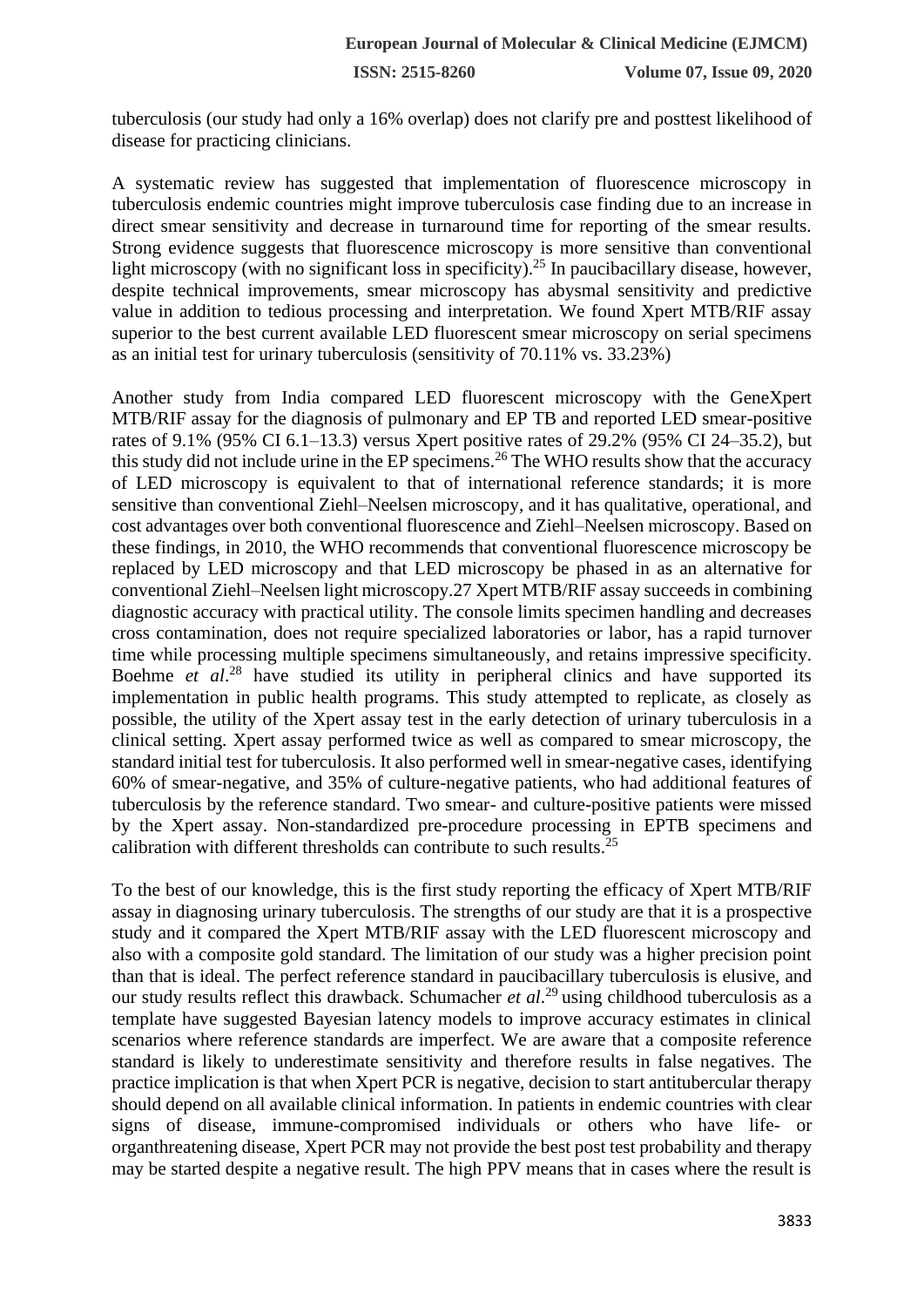tuberculosis (our study had only a 16% overlap) does not clarify pre and posttest likelihood of disease for practicing clinicians.

A systematic review has suggested that implementation of fluorescence microscopy in tuberculosis endemic countries might improve tuberculosis case finding due to an increase in direct smear sensitivity and decrease in turnaround time for reporting of the smear results. Strong evidence suggests that fluorescence microscopy is more sensitive than conventional light microscopy (with no significant loss in specificity).<sup>25</sup> In paucibacillary disease, however, despite technical improvements, smear microscopy has abysmal sensitivity and predictive value in addition to tedious processing and interpretation. We found Xpert MTB/RIF assay superior to the best current available LED fluorescent smear microscopy on serial specimens as an initial test for urinary tuberculosis (sensitivity of 70.11% vs. 33.23%)

Another study from India compared LED fluorescent microscopy with the GeneXpert MTB/RIF assay for the diagnosis of pulmonary and EP TB and reported LED smear-positive rates of 9.1% (95% CI 6.1–13.3) versus Xpert positive rates of 29.2% (95% CI 24–35.2), but this study did not include urine in the EP specimens.<sup>26</sup> The WHO results show that the accuracy of LED microscopy is equivalent to that of international reference standards; it is more sensitive than conventional Ziehl–Neelsen microscopy, and it has qualitative, operational, and cost advantages over both conventional fluorescence and Ziehl–Neelsen microscopy. Based on these findings, in 2010, the WHO recommends that conventional fluorescence microscopy be replaced by LED microscopy and that LED microscopy be phased in as an alternative for conventional Ziehl–Neelsen light microscopy.27 Xpert MTB/RIF assay succeeds in combining diagnostic accuracy with practical utility. The console limits specimen handling and decreases cross contamination, does not require specialized laboratories or labor, has a rapid turnover time while processing multiple specimens simultaneously, and retains impressive specificity. Boehme *et al.*<sup>28</sup> have studied its utility in peripheral clinics and have supported its implementation in public health programs. This study attempted to replicate, as closely as possible, the utility of the Xpert assay test in the early detection of urinary tuberculosis in a clinical setting. Xpert assay performed twice as well as compared to smear microscopy, the standard initial test for tuberculosis. It also performed well in smear-negative cases, identifying 60% of smear-negative, and 35% of culture-negative patients, who had additional features of tuberculosis by the reference standard. Two smear- and culture-positive patients were missed by the Xpert assay. Non-standardized pre-procedure processing in EPTB specimens and calibration with different thresholds can contribute to such results.<sup>25</sup>

To the best of our knowledge, this is the first study reporting the efficacy of Xpert MTB/RIF assay in diagnosing urinary tuberculosis. The strengths of our study are that it is a prospective study and it compared the Xpert MTB/RIF assay with the LED fluorescent microscopy and also with a composite gold standard. The limitation of our study was a higher precision point than that is ideal. The perfect reference standard in paucibacillary tuberculosis is elusive, and our study results reflect this drawback. Schumacher *et al*.<sup>29</sup> using childhood tuberculosis as a template have suggested Bayesian latency models to improve accuracy estimates in clinical scenarios where reference standards are imperfect. We are aware that a composite reference standard is likely to underestimate sensitivity and therefore results in false negatives. The practice implication is that when Xpert PCR is negative, decision to start antitubercular therapy should depend on all available clinical information. In patients in endemic countries with clear signs of disease, immune-compromised individuals or others who have life- or organthreatening disease, Xpert PCR may not provide the best post test probability and therapy may be started despite a negative result. The high PPV means that in cases where the result is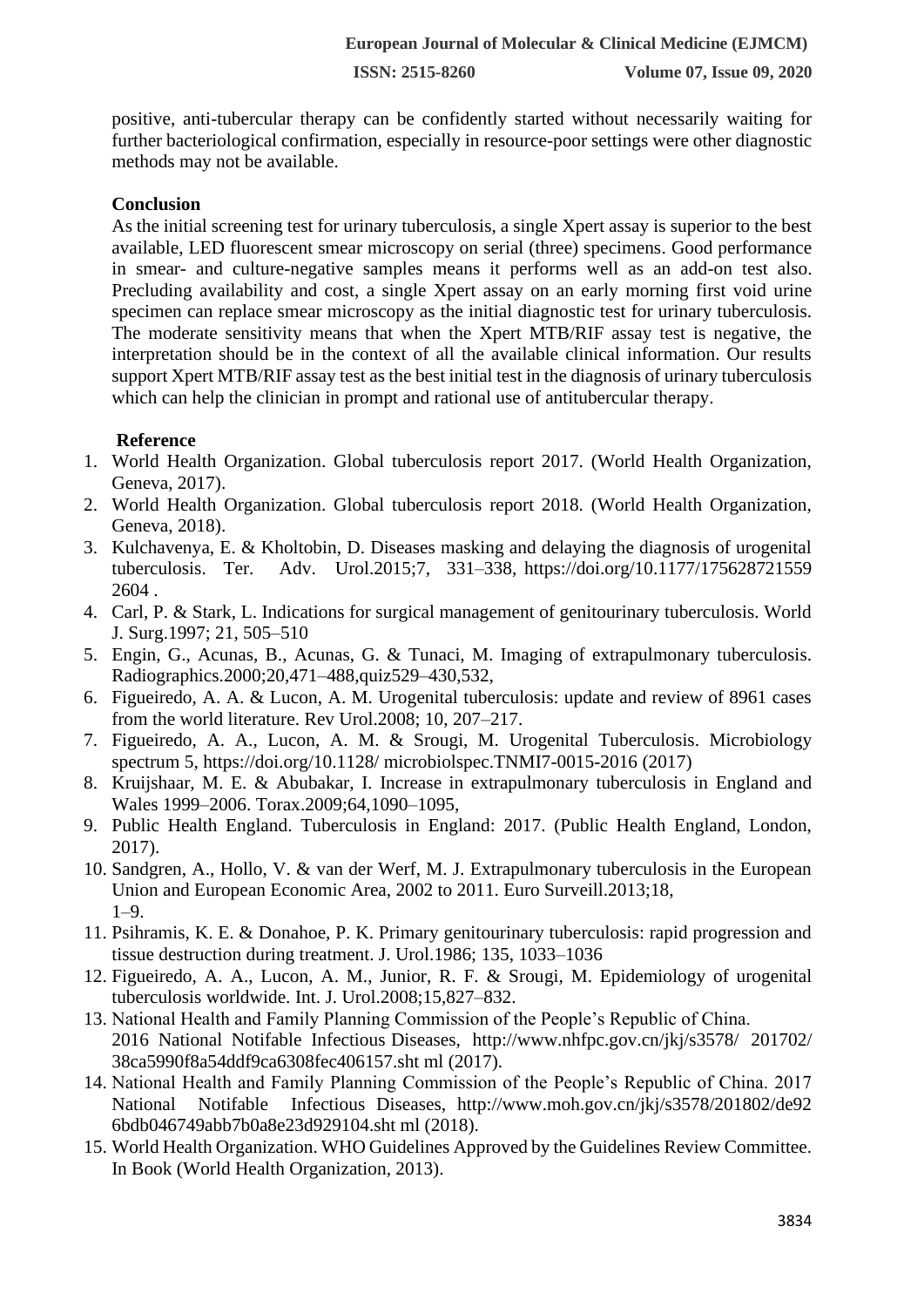positive, anti-tubercular therapy can be confidently started without necessarily waiting for further bacteriological confirmation, especially in resource-poor settings were other diagnostic methods may not be available.

# **Conclusion**

As the initial screening test for urinary tuberculosis, a single Xpert assay is superior to the best available, LED fluorescent smear microscopy on serial (three) specimens. Good performance in smear- and culture-negative samples means it performs well as an add-on test also. Precluding availability and cost, a single Xpert assay on an early morning first void urine specimen can replace smear microscopy as the initial diagnostic test for urinary tuberculosis. The moderate sensitivity means that when the Xpert MTB/RIF assay test is negative, the interpretation should be in the context of all the available clinical information. Our results support Xpert MTB/RIF assay test as the best initial test in the diagnosis of urinary tuberculosis which can help the clinician in prompt and rational use of antitubercular therapy.

# **Reference**

- 1. World Health Organization. Global tuberculosis report 2017. (World Health Organization, Geneva, 2017).
- 2. World Health Organization. Global tuberculosis report 2018. (World Health Organization, Geneva, 2018).
- 3. Kulchavenya, E. & Kholtobin, D. Diseases masking and delaying the diagnosis of urogenital tuberculosis. Ter. Adv. Urol.2015;7, 331–338, https://doi.org/10.1177/175628721559 2604 .
- 4. Carl, P. & Stark, L. Indications for surgical management of genitourinary tuberculosis. World J. Surg.1997; 21, 505–510
- 5. Engin, G., Acunas, B., Acunas, G. & Tunaci, M. Imaging of extrapulmonary tuberculosis. Radiographics.2000;20,471–488,quiz529–430,532,
- 6. Figueiredo, A. A. & Lucon, A. M. Urogenital tuberculosis: update and review of 8961 cases from the world literature. Rev Urol.2008; 10, 207–217.
- 7. Figueiredo, A. A., Lucon, A. M. & Srougi, M. Urogenital Tuberculosis. Microbiology spectrum 5, https://doi.org/10.1128/ microbiolspec.TNMI7-0015-2016 (2017)
- 8. Kruijshaar, M. E. & Abubakar, I. Increase in extrapulmonary tuberculosis in England and Wales 1999–2006. Torax.2009;64,1090–1095,
- 9. Public Health England. Tuberculosis in England: 2017. (Public Health England, London, 2017).
- 10. Sandgren, A., Hollo, V. & van der Werf, M. J. Extrapulmonary tuberculosis in the European Union and European Economic Area, 2002 to 2011. Euro Surveill.2013;18, 1–9.
- 11. Psihramis, K. E. & Donahoe, P. K. Primary genitourinary tuberculosis: rapid progression and tissue destruction during treatment. J. Urol.1986; 135, 1033–1036
- 12. Figueiredo, A. A., Lucon, A. M., Junior, R. F. & Srougi, M. Epidemiology of urogenital tuberculosis worldwide. Int. J. Urol.2008;15,827–832.
- 13. National Health and Family Planning Commission of the People's Republic of China. 2016 National Notifable Infectious Diseases, http://www.nhfpc.gov.cn/jkj/s3578/ 201702/ 38ca5990f8a54ddf9ca6308fec406157.sht ml (2017).
- 14. National Health and Family Planning Commission of the People's Republic of China. 2017 National Notifable Infectious Diseases, http://www.moh.gov.cn/jkj/s3578/201802/de92 6bdb046749abb7b0a8e23d929104.sht ml (2018).
- 15. World Health Organization. WHO Guidelines Approved by the Guidelines Review Committee. In Book (World Health Organization, 2013).